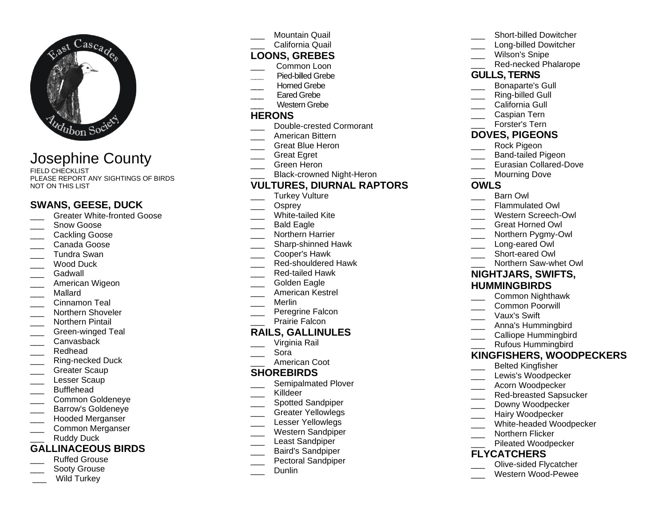

# Josephine County

FIELD CHECKLIST PLEASE REPORT ANY SIGHTINGS OF BIRDS NOT ON THIS LIST

# **SWANS, GEESE, DUCK**

- Greater White-fronted Goose
- Snow Goose
- Cackling Goose
- \_\_\_ Canada Goose
- \_\_\_ Tundra Swan
- Wood Duck
- \_\_\_ Gadwall
- American Wigeon
- \_\_\_ Mallard
- Cinnamon Teal
- \_\_\_ Northern Shoveler
- \_\_\_ Northern Pintail
- \_\_\_ Green-winged Teal
- Canvasback
- \_\_\_ Redhead
- \_\_\_ Ring-necked Duck
- Greater Scaup
- Lesser Scaup
- \_\_\_ Bufflehead
- \_\_\_ Common Goldeneye
- \_\_\_ Barrow's Goldeneye
- \_\_\_ Hooded Merganser
- \_\_\_ Common Merganser
- Ruddy Duck

# **GALLINACEOUS BIRDS**

- \_\_\_ Ruffed Grouse
- 
- Sooty Grouse
- Wild Turkey

Mountain Quail

#### California Quail **LOONS, GREBES**

- \_\_\_ Common Loon
- **\_\_\_** Pied-billed Grebe
- Horned Grebe
- Eared Grebe
- Western Grebe

#### **HERONS**

- Double-crested Cormorant
- \_\_\_ American Bittern
- \_\_\_ Great Blue Heron
- \_\_\_ Great Egret
- \_\_\_ Green Heron
- Black-crowned Night-Heron

# **VULTURES, DIURNAL RAPTORS**

- Turkey Vulture
- Osprey
- White-tailed Kite
- Bald Eagle
- Northern Harrier
- \_\_\_ Sharp-shinned Hawk
- \_\_\_ Cooper's Hawk
- Red-shouldered Hawk
- \_\_\_ Red-tailed Hawk
- Golden Eagle
- \_\_\_ American Kestrel
- \_\_\_ Merlin
- Peregrine Falcon
- Prairie Falcon

#### **RAILS, GALLINULES**

- Virginia Rail
- \_\_\_ Sora
- American Coot

#### **SHOREBIRDS**

- Semipalmated Plover
- \_\_\_ Killdeer
- Spotted Sandpiper
- Greater Yellowlegs
- Lesser Yellowlegs
- \_\_\_ Western Sandpiper
- \_\_\_ Least Sandpiper
- \_\_\_ Baird's Sandpiper
- Pectoral Sandpiper
- \_\_\_ Dunlin
- Short-billed Dowitcher
- Long-billed Dowitcher
- Wilson's Snipe
	- Red-necked Phalarope

# **GULLS, TERNS**

- Bonaparte's Gull
- Ring-billed Gull
- California Gull
- \_\_\_ Caspian Tern
- Forster's Tern

# **DOVES, PIGEONS**

- Rock Pigeon
- \_\_\_ Band-tailed Pigeon
- Eurasian Collared-Dove
- \_\_\_ Mourning Dove

# **OWLS**

- Barn Owl
- Flammulated Owl
- Western Screech-Owl
- \_\_\_ Great Horned Owl
- Northern Pygmy-Owl

**NIGHTJARS, SWIFTS, HUMMINGBIRDS**

\_\_\_ Northern Saw-whet Owl

\_\_\_ Common Nighthawk \_\_\_ Common Poorwill Vaux's Swift

\_\_\_ Anna's Hummingbird Calliope Hummingbird \_\_\_ Rufous Hummingbird

\_\_\_ Belted Kingfisher Lewis's Woodpecker \_\_\_ Acorn Woodpecker Red-breasted Sapsucker Downy Woodpecker Hairy Woodpecker

Northern Flicker Pileated Woodpecker

**FLYCATCHERS**

**KINGFISHERS, WOODPECKERS**

White-headed Woodpecker

\_\_\_ Olive-sided Flycatcher \_\_\_ Western Wood-Pewee

- Long-eared Owl
- Short-eared Owl